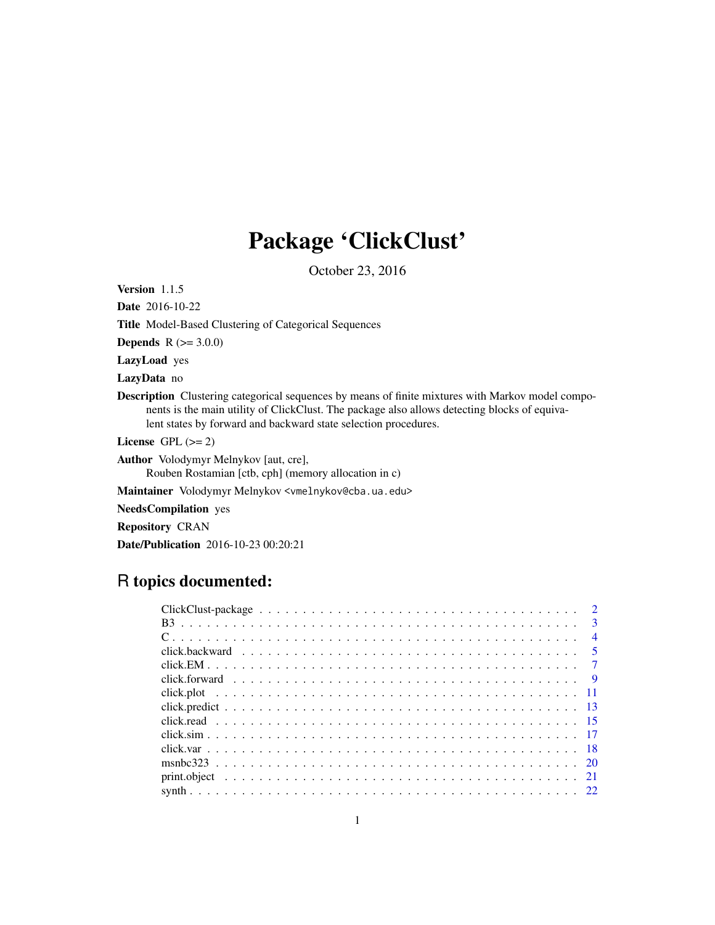# Package 'ClickClust'

October 23, 2016

Version 1.1.5

Date 2016-10-22

Title Model-Based Clustering of Categorical Sequences

**Depends**  $R (= 3.0.0)$ 

LazyLoad yes

LazyData no

Description Clustering categorical sequences by means of finite mixtures with Markov model components is the main utility of ClickClust. The package also allows detecting blocks of equivalent states by forward and backward state selection procedures.

License GPL  $(>= 2)$ 

Author Volodymyr Melnykov [aut, cre],

Rouben Rostamian [ctb, cph] (memory allocation in c)

Maintainer Volodymyr Melnykov <vmelnykov@cba.ua.edu>

NeedsCompilation yes

Repository CRAN

Date/Publication 2016-10-23 00:20:21

# R topics documented:

|            | $\overline{\mathbf{3}}$ |
|------------|-------------------------|
|            | $\overline{4}$          |
|            |                         |
| $click.EM$ |                         |
|            |                         |
|            |                         |
|            |                         |
|            |                         |
|            |                         |
|            |                         |
|            |                         |
|            |                         |
|            |                         |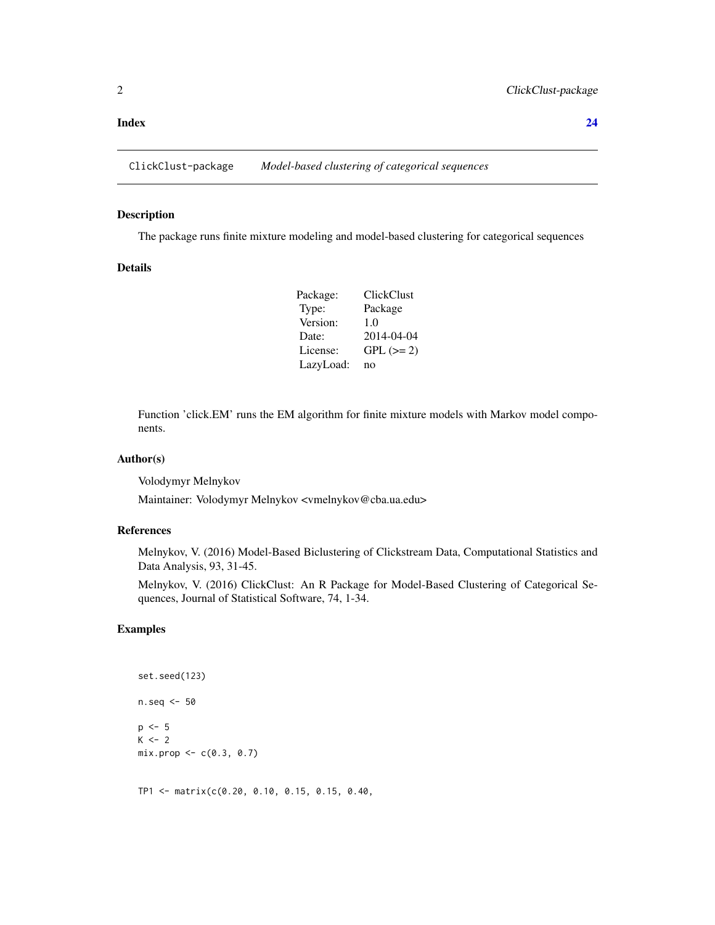#### <span id="page-1-0"></span>**Index** [24](#page-23-0)

ClickClust-package *Model-based clustering of categorical sequences*

#### Description

The package runs finite mixture modeling and model-based clustering for categorical sequences

#### Details

| Package:  | <b>ClickClust</b> |
|-----------|-------------------|
| Type:     | Package           |
| Version:  | 1.0               |
| Date:     | 2014-04-04        |
| License:  | $GPL (= 2)$       |
| LazyLoad: | no                |

Function 'click.EM' runs the EM algorithm for finite mixture models with Markov model components.

#### Author(s)

Volodymyr Melnykov

Maintainer: Volodymyr Melnykov <vmelnykov@cba.ua.edu>

#### References

Melnykov, V. (2016) Model-Based Biclustering of Clickstream Data, Computational Statistics and Data Analysis, 93, 31-45.

Melnykov, V. (2016) ClickClust: An R Package for Model-Based Clustering of Categorical Sequences, Journal of Statistical Software, 74, 1-34.

# Examples

```
set.seed(123)
n.seq <- 50
p \le -5K < -2mix.prop < -c(0.3, 0.7)
```
TP1 <- matrix(c(0.20, 0.10, 0.15, 0.15, 0.40,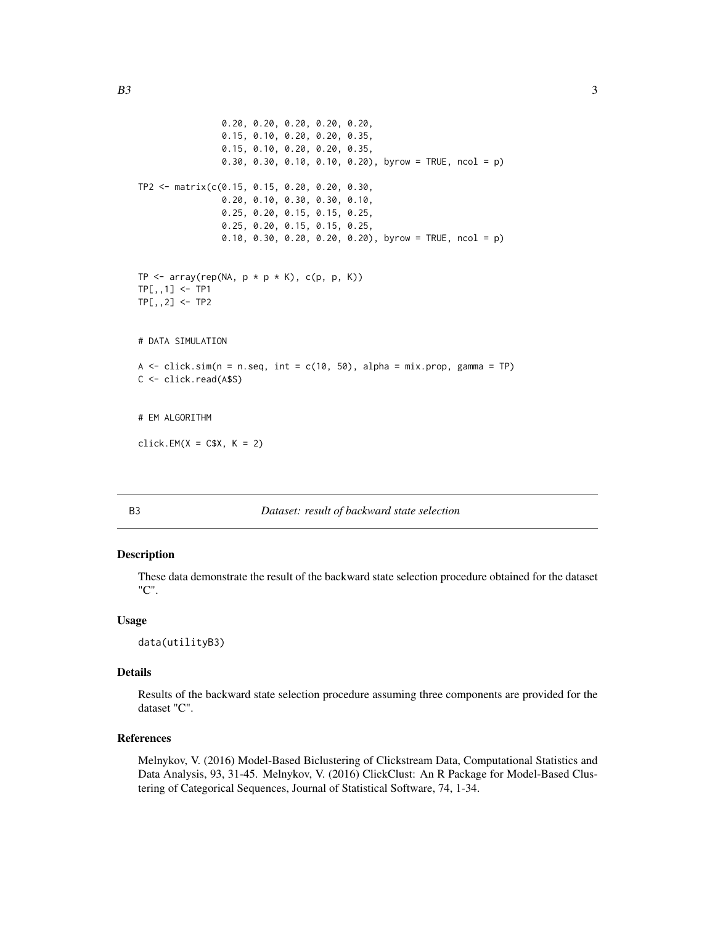```
0.20, 0.20, 0.20, 0.20, 0.20,
                0.15, 0.10, 0.20, 0.20, 0.35,
                0.15, 0.10, 0.20, 0.20, 0.35,
                0.30, 0.30, 0.10, 0.10, 0.20), byrow = TRUE, ncol = p)
TP2 <- matrix(c(0.15, 0.15, 0.20, 0.20, 0.30,
                0.20, 0.10, 0.30, 0.30, 0.10,
                0.25, 0.20, 0.15, 0.15, 0.25,
                0.25, 0.20, 0.15, 0.15, 0.25,
                0.10, 0.30, 0.20, 0.20, 0.20), byrow = TRUE, ncol = p)
TP \leq array(rep(NA, p * p * K), c(p, p, K))
TP[,, 1] <- TP1TP[,, 2] <- TP2# DATA SIMULATION
A \le click.sim(n = n.seq, int = c(10, 50), alpha = mix.prop, gamma = TP)
C <- click.read(A$S)
# EM ALGORITHM
click.EM(X = C$X, K = 2)
```
#### B3 *Dataset: result of backward state selection*

#### Description

These data demonstrate the result of the backward state selection procedure obtained for the dataset "C".

#### Usage

data(utilityB3)

#### Details

Results of the backward state selection procedure assuming three components are provided for the dataset "C".

# References

Melnykov, V. (2016) Model-Based Biclustering of Clickstream Data, Computational Statistics and Data Analysis, 93, 31-45. Melnykov, V. (2016) ClickClust: An R Package for Model-Based Clustering of Categorical Sequences, Journal of Statistical Software, 74, 1-34.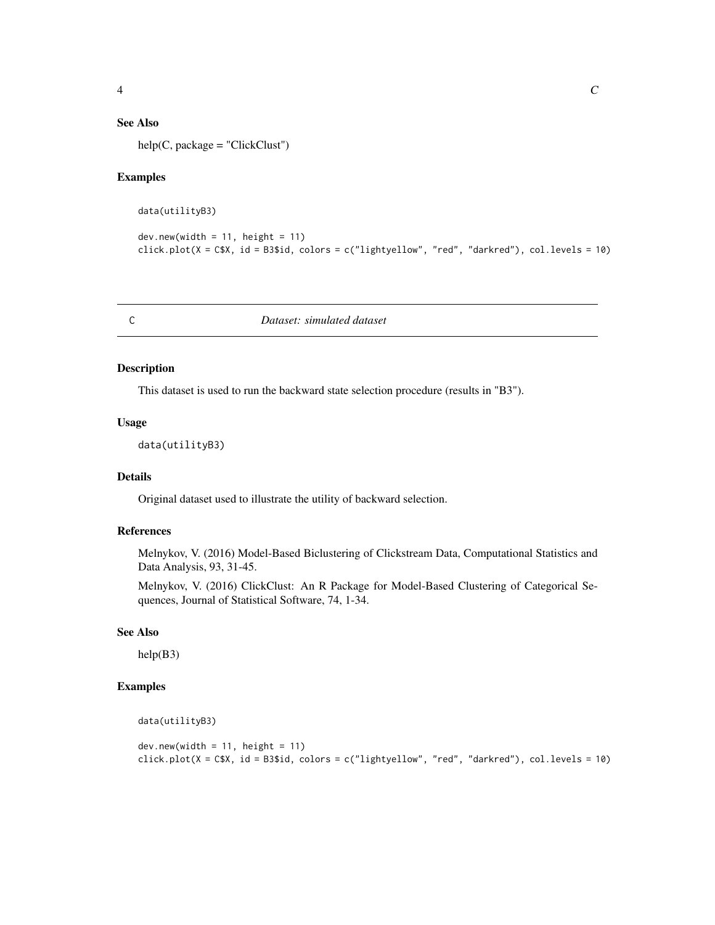# <span id="page-3-0"></span>See Also

help(C, package = "ClickClust")

#### Examples

```
data(utilityB3)
```

```
dev.new(width = 11, height = 11)click.plot(X = C$X, id = B3$id, colors = c("lightyellow", "red", "darkred"), col.levels = 10)
```
C *Dataset: simulated dataset*

#### Description

This dataset is used to run the backward state selection procedure (results in "B3").

# Usage

data(utilityB3)

# Details

Original dataset used to illustrate the utility of backward selection.

# References

Melnykov, V. (2016) Model-Based Biclustering of Clickstream Data, Computational Statistics and Data Analysis, 93, 31-45.

Melnykov, V. (2016) ClickClust: An R Package for Model-Based Clustering of Categorical Sequences, Journal of Statistical Software, 74, 1-34.

#### See Also

help(B3)

```
data(utilityB3)
dev.new(width = 11, height = 11)click.plot(X = C$X, id = B3$id, colors = c("lightyellow", "red", "darkred"), col.levels = 10)
```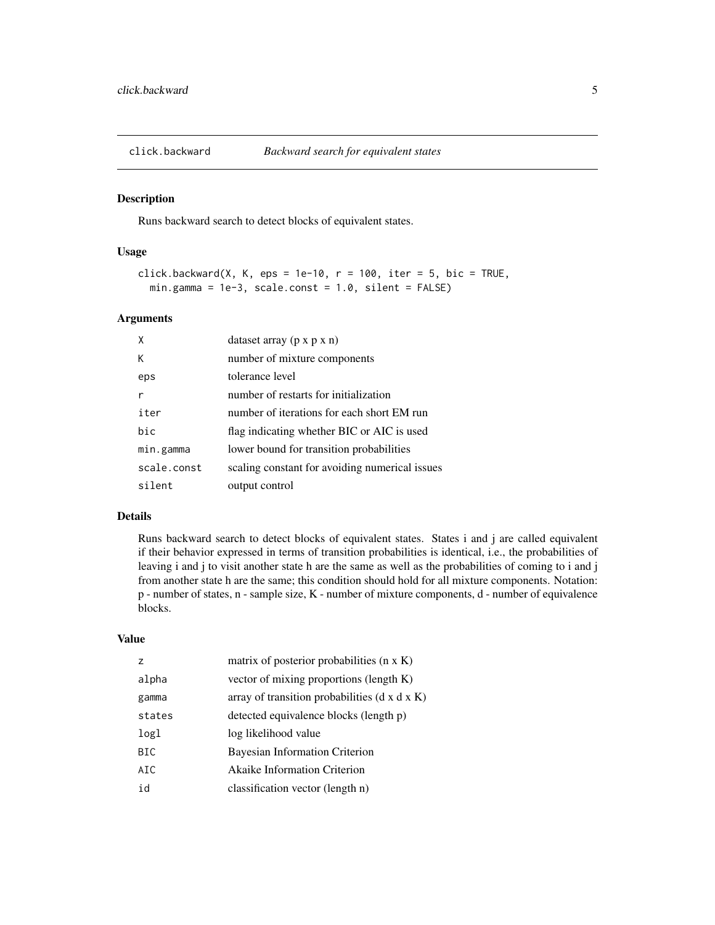<span id="page-4-0"></span>

#### Description

Runs backward search to detect blocks of equivalent states.

#### Usage

```
click.backward(X, K, eps = 1e-10, r = 100, iter = 5, bic = TRUE,
  min.gamma = 1e-3, scale.const = 1.0, silent = FALSE)
```
# Arguments

| X           | dataset array $(p \times p \times n)$          |
|-------------|------------------------------------------------|
| К           | number of mixture components                   |
| eps         | tolerance level                                |
| r           | number of restarts for initialization          |
| iter        | number of iterations for each short EM run     |
| bic         | flag indicating whether BIC or AIC is used     |
| min.gamma   | lower bound for transition probabilities       |
| scale.const | scaling constant for avoiding numerical issues |
| silent      | output control                                 |

#### Details

Runs backward search to detect blocks of equivalent states. States i and j are called equivalent if their behavior expressed in terms of transition probabilities is identical, i.e., the probabilities of leaving i and j to visit another state h are the same as well as the probabilities of coming to i and j from another state h are the same; this condition should hold for all mixture components. Notation: p - number of states, n - sample size, K - number of mixture components, d - number of equivalence blocks.

# Value

| Z          | matrix of posterior probabilities $(n \times K)$          |
|------------|-----------------------------------------------------------|
| alpha      | vector of mixing proportions (length K)                   |
| gamma      | array of transition probabilities $(d \times d \times K)$ |
| states     | detected equivalence blocks (length p)                    |
| logl       | log likelihood value                                      |
| <b>BIC</b> | Bayesian Information Criterion                            |
| AIC        | <b>Akaike Information Criterion</b>                       |
| id         | classification vector (length n)                          |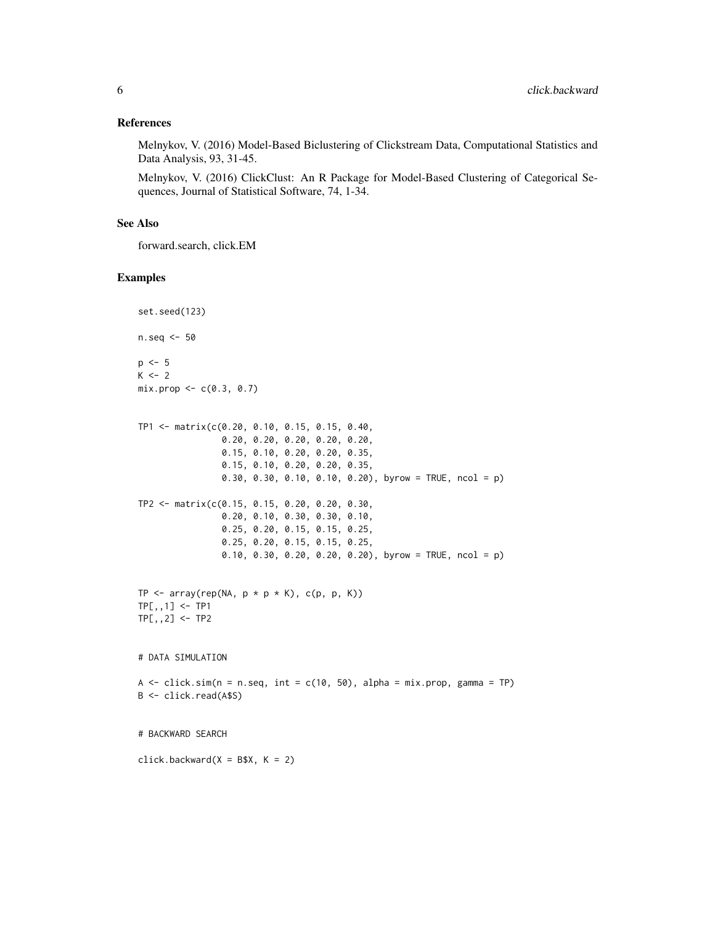#### References

Melnykov, V. (2016) Model-Based Biclustering of Clickstream Data, Computational Statistics and Data Analysis, 93, 31-45.

Melnykov, V. (2016) ClickClust: An R Package for Model-Based Clustering of Categorical Sequences, Journal of Statistical Software, 74, 1-34.

#### See Also

forward.search, click.EM

```
set.seed(123)
n.seq <- 50
p \le -5K < -2mix.prop \leq c(0.3, 0.7)TP1 <- matrix(c(0.20, 0.10, 0.15, 0.15, 0.40,
                0.20, 0.20, 0.20, 0.20, 0.20,
                0.15, 0.10, 0.20, 0.20, 0.35,
                0.15, 0.10, 0.20, 0.20, 0.35,
                0.30, 0.30, 0.10, 0.10, 0.20), byrow = TRUE, ncol = p)
TP2 <- matrix(c(0.15, 0.15, 0.20, 0.20, 0.30,
                0.20, 0.10, 0.30, 0.30, 0.10,
                0.25, 0.20, 0.15, 0.15, 0.25,
                0.25, 0.20, 0.15, 0.15, 0.25,
                0.10, 0.30, 0.20, 0.20, 0.20), byrow = TRUE, ncol = p)
TP \leq array(rep(NA, p * p * K), c(p, p, K))
TP[,,1] <- TP1
TP[,, 2] <- TP2# DATA SIMULATION
A \le - click.sim(n = n.seq, int = c(10, 50), alpha = mix.prop, gamma = TP)
B <- click.read(A$S)
# BACKWARD SEARCH
click.\text{backward}(X = B$X, K = 2)
```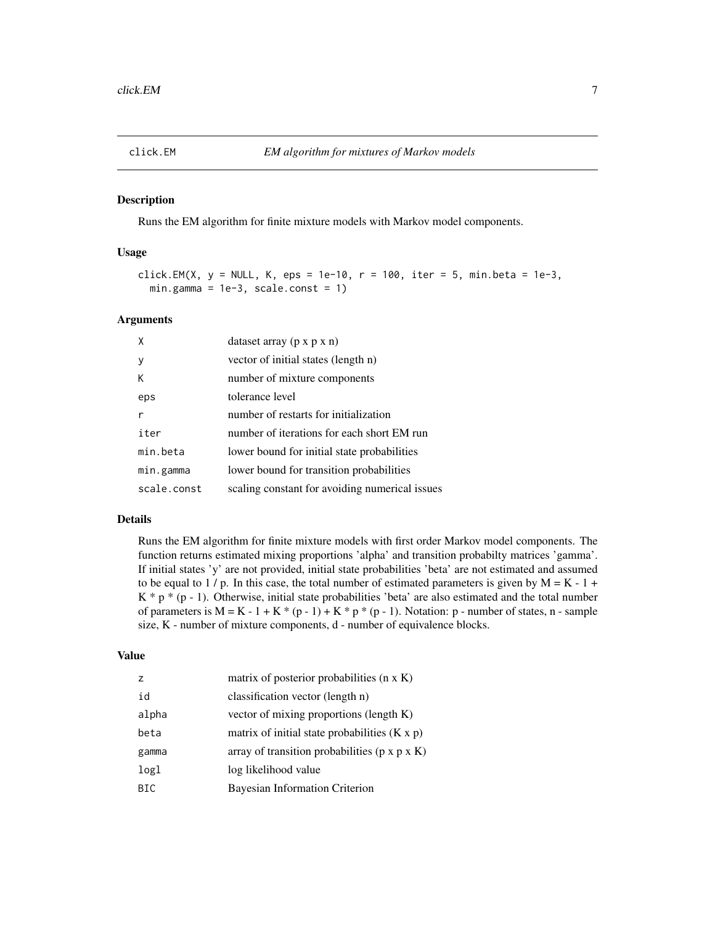<span id="page-6-0"></span>

#### Description

Runs the EM algorithm for finite mixture models with Markov model components.

#### Usage

click.EM(X, y = NULL, K, eps = 1e-10, r = 100, iter = 5, min.beta = 1e-3,  $min.gamma = 1e-3$ , scale.const = 1)

#### Arguments

| X           | dataset array (p x p x n)                      |
|-------------|------------------------------------------------|
| у           | vector of initial states (length n)            |
| К           | number of mixture components                   |
| eps         | tolerance level                                |
| r           | number of restarts for initialization          |
| iter        | number of iterations for each short EM run     |
| min.beta    | lower bound for initial state probabilities    |
| min.gamma   | lower bound for transition probabilities       |
| scale.const | scaling constant for avoiding numerical issues |

# Details

Runs the EM algorithm for finite mixture models with first order Markov model components. The function returns estimated mixing proportions 'alpha' and transition probabilty matrices 'gamma'. If initial states 'y' are not provided, initial state probabilities 'beta' are not estimated and assumed to be equal to 1 / p. In this case, the total number of estimated parameters is given by  $M = K - 1 +$  $K * p * (p - 1)$ . Otherwise, initial state probabilities 'beta' are also estimated and the total number of parameters is  $M = K - 1 + K * (p - 1) + K * p * (p - 1)$ . Notation: p - number of states, n - sample size, K - number of mixture components, d - number of equivalence blocks.

### Value

| Z     | matrix of posterior probabilities $(n \times K)$            |
|-------|-------------------------------------------------------------|
| id    | classification vector (length n)                            |
| alpha | vector of mixing proportions (length K)                     |
| beta  | matrix of initial state probabilities $(K x p)$             |
| gamma | array of transition probabilities ( $p \times p \times K$ ) |
| logl  | log likelihood value                                        |
| BIC   | Bayesian Information Criterion                              |
|       |                                                             |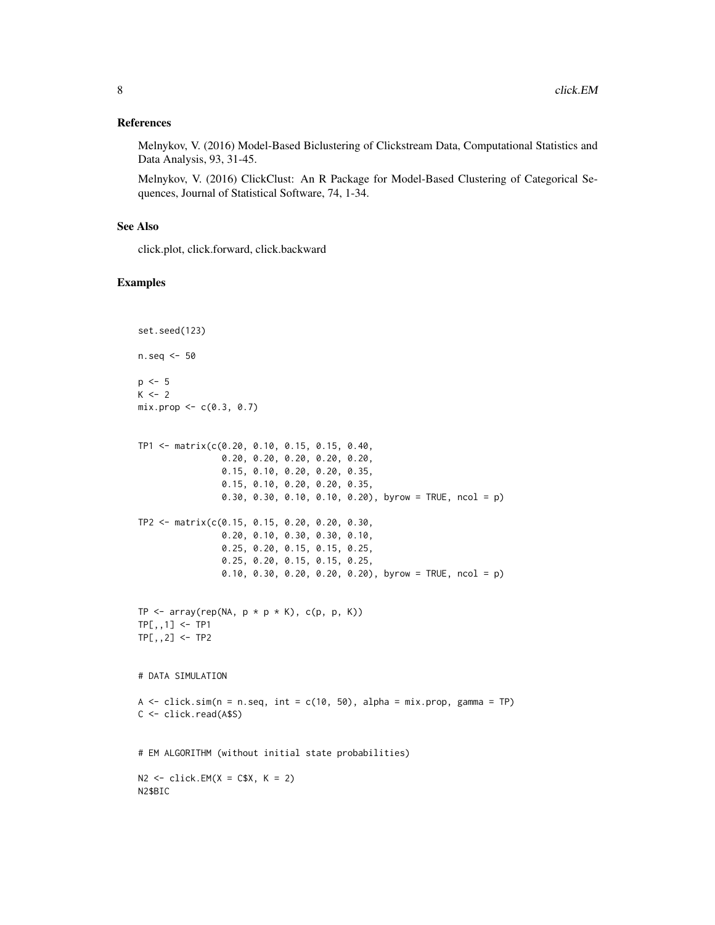#### References

Melnykov, V. (2016) Model-Based Biclustering of Clickstream Data, Computational Statistics and Data Analysis, 93, 31-45.

Melnykov, V. (2016) ClickClust: An R Package for Model-Based Clustering of Categorical Sequences, Journal of Statistical Software, 74, 1-34.

# See Also

click.plot, click.forward, click.backward

```
set.seed(123)
n.seq <- 50
p \le -5K < -2mix.prop < -c(0.3, 0.7)TP1 <- matrix(c(0.20, 0.10, 0.15, 0.15, 0.40,
                0.20, 0.20, 0.20, 0.20, 0.20,
                0.15, 0.10, 0.20, 0.20, 0.35,
                0.15, 0.10, 0.20, 0.20, 0.35,
                0.30, 0.30, 0.10, 0.10, 0.20), byrow = TRUE, ncol = p)
TP2 <- matrix(c(0.15, 0.15, 0.20, 0.20, 0.30,
                0.20, 0.10, 0.30, 0.30, 0.10,
                0.25, 0.20, 0.15, 0.15, 0.25,
                0.25, 0.20, 0.15, 0.15, 0.25,
                0.10, 0.30, 0.20, 0.20, 0.20), byrow = TRUE, ncol = p)
TP \leq array(rep(NA, p * p * K), c(p, p, K))
TP[,,1] <- TP1
TP[,, 2] <- TP2# DATA SIMULATION
A \le click.sim(n = n.seq, int = c(10, 50), alpha = mix.prop, gamma = TP)
C <- click.read(A$S)
# EM ALGORITHM (without initial state probabilities)
N2 \leq click.EM(X = C$X, K = 2)N2$BIC
```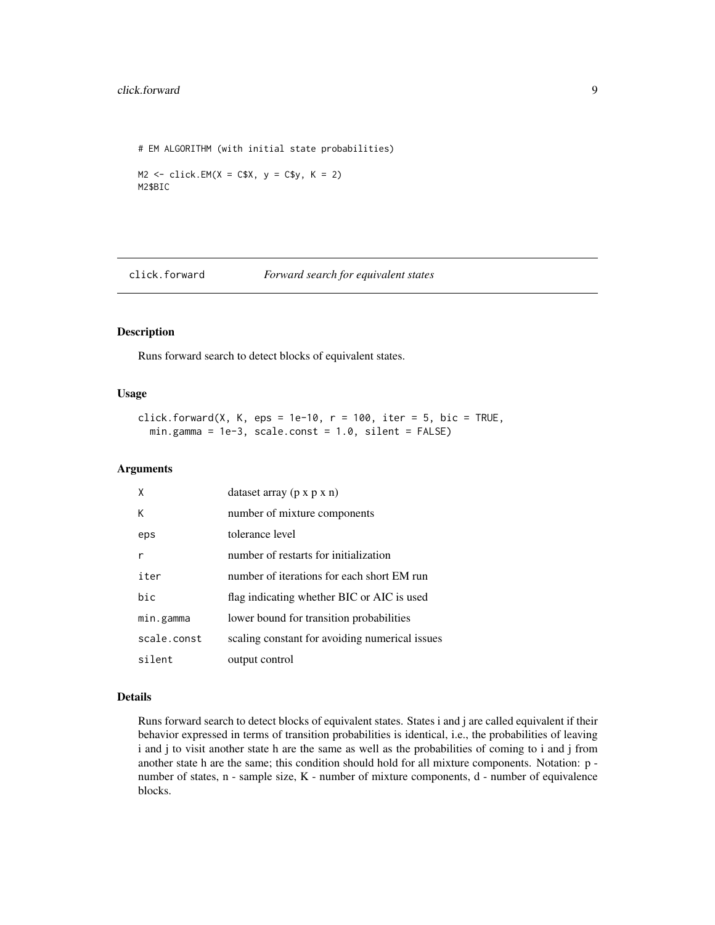#### <span id="page-8-0"></span>click.forward 9

# EM ALGORITHM (with initial state probabilities)  $M2 \le - \text{click}.EM(X = C $X, y = C $y, K = 2)$ M2\$BIC

click.forward *Forward search for equivalent states*

#### Description

Runs forward search to detect blocks of equivalent states.

# Usage

```
click.forward(X, K, eps = 1e-10, r = 100, iter = 5, bic = TRUE,
 min.gamma = 1e-3, scale.const = 1.0, silent = FALSE)
```
### Arguments

| χ           | dataset array ( $p \times p \times n$ )        |
|-------------|------------------------------------------------|
| К           | number of mixture components                   |
| eps         | tolerance level                                |
|             | number of restarts for initialization          |
| iter        | number of iterations for each short EM run     |
| hic         | flag indicating whether BIC or AIC is used     |
| min.gamma   | lower bound for transition probabilities       |
| scale.const | scaling constant for avoiding numerical issues |
| silent      | output control                                 |

#### Details

Runs forward search to detect blocks of equivalent states. States i and j are called equivalent if their behavior expressed in terms of transition probabilities is identical, i.e., the probabilities of leaving i and j to visit another state h are the same as well as the probabilities of coming to i and j from another state h are the same; this condition should hold for all mixture components. Notation: p number of states, n - sample size, K - number of mixture components, d - number of equivalence blocks.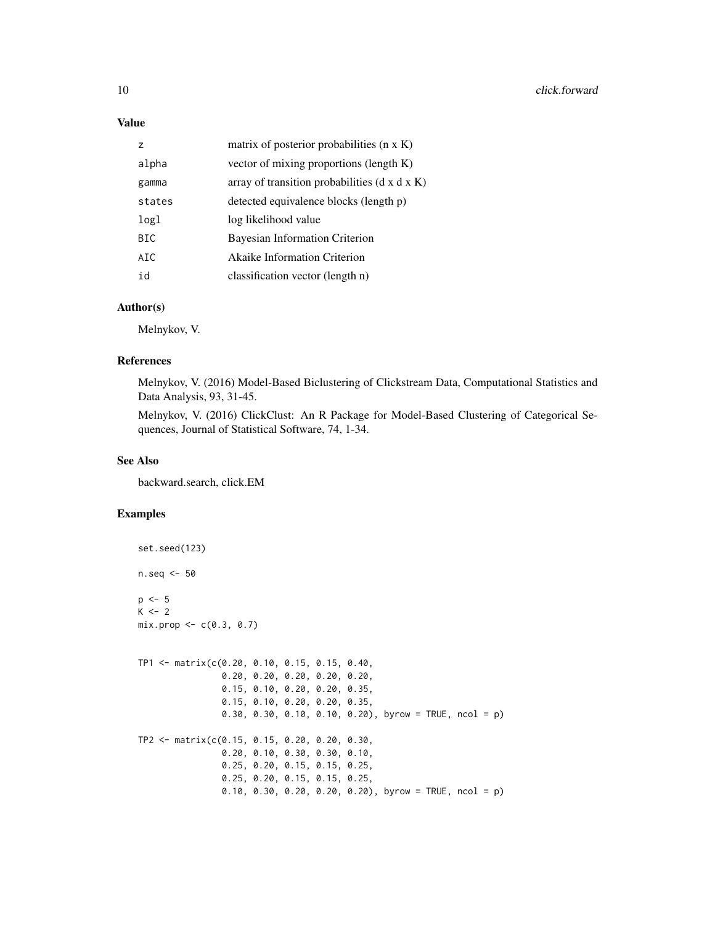### Value

| $\overline{z}$ | matrix of posterior probabilities $(n \times K)$          |
|----------------|-----------------------------------------------------------|
| alpha          | vector of mixing proportions (length K)                   |
| gamma          | array of transition probabilities $(d \times d \times K)$ |
| states         | detected equivalence blocks (length p)                    |
| logl           | log likelihood value                                      |
| BIC.           | Bayesian Information Criterion                            |
| AIC.           | <b>Akaike Information Criterion</b>                       |
| id             | classification vector (length n)                          |

# Author(s)

Melnykov, V.

#### References

Melnykov, V. (2016) Model-Based Biclustering of Clickstream Data, Computational Statistics and Data Analysis, 93, 31-45.

Melnykov, V. (2016) ClickClust: An R Package for Model-Based Clustering of Categorical Sequences, Journal of Statistical Software, 74, 1-34.

#### See Also

backward.search, click.EM

```
set.seed(123)
n.seq <- 50
p \le -5K < -2mix.prop < -c(0.3, 0.7)TP1 <- matrix(c(0.20, 0.10, 0.15, 0.15, 0.40,
                0.20, 0.20, 0.20, 0.20, 0.20,
                0.15, 0.10, 0.20, 0.20, 0.35,
                0.15, 0.10, 0.20, 0.20, 0.35,
                0.30, 0.30, 0.10, 0.10, 0.20), byrow = TRUE, ncol = p)
TP2 <- matrix(c(0.15, 0.15, 0.20, 0.20, 0.30,
                0.20, 0.10, 0.30, 0.30, 0.10,
                0.25, 0.20, 0.15, 0.15, 0.25,
                0.25, 0.20, 0.15, 0.15, 0.25,
                0.10, 0.30, 0.20, 0.20, 0.20), byrow = TRUE, ncol = p)
```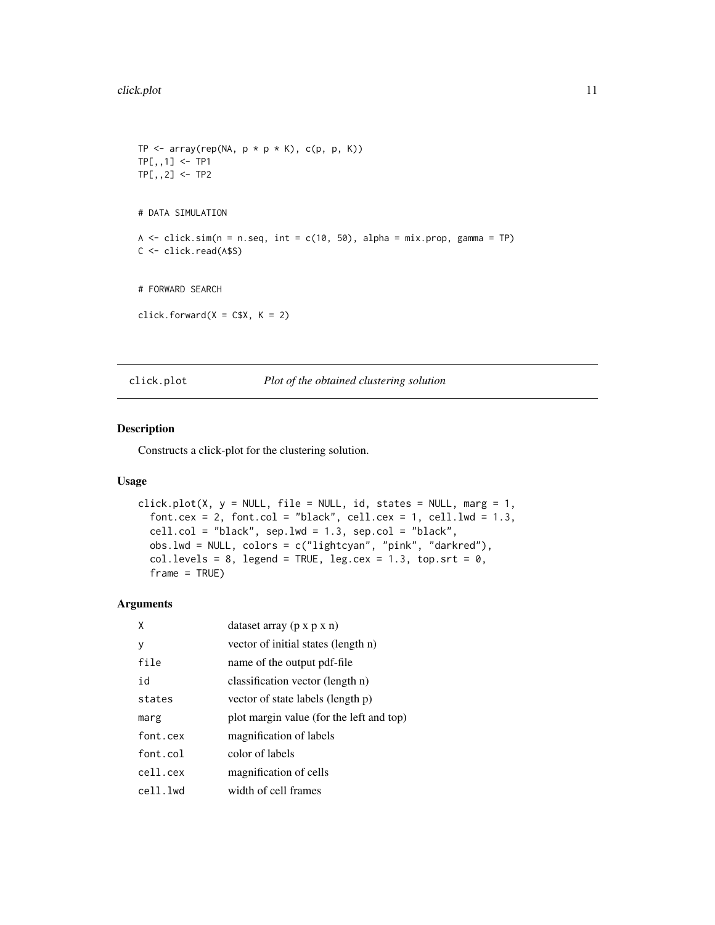```
TP <- array(rep(NA, p * p * K), c(p, p, K))TP[,, 1] <- TP1
TP[,, 2] <- TP2# DATA SIMULATION
A \le click.sim(n = n.seq, int = c(10, 50), alpha = mix.prop, gamma = TP)
C <- click.read(A$S)
# FORWARD SEARCH
click.format(X = C$X, K = 2)
```
click.plot *Plot of the obtained clustering solution*

#### Description

Constructs a click-plot for the clustering solution.

### Usage

```
click.plot(X, y = NULL, file = NULL, id, states = NULL, marg = 1,
 font.cex = 2, font.col = "black", cell.cex = 1, cell.lwd = 1.3,
 cell.col = "black", sep.lwd = 1.3, sep.col = "black",
 obs.lwd = NULL, colors = c("lightcyan", "pink", "darkred"),
 col.levels = 8, legend = TRUE, leg.cex = 1.3, top.srt = 0,
  frame = TRUE)
```
# Arguments

| X        | dataset array ( $p \times p \times n$ )  |
|----------|------------------------------------------|
| V        | vector of initial states (length n)      |
| file     | name of the output pdf-file              |
| id       | classification vector (length n)         |
| states   | vector of state labels (length p)        |
| marg     | plot margin value (for the left and top) |
| font.cex | magnification of labels                  |
| font.col | color of labels                          |
| cell.cex | magnification of cells                   |
| cell.lwd | width of cell frames                     |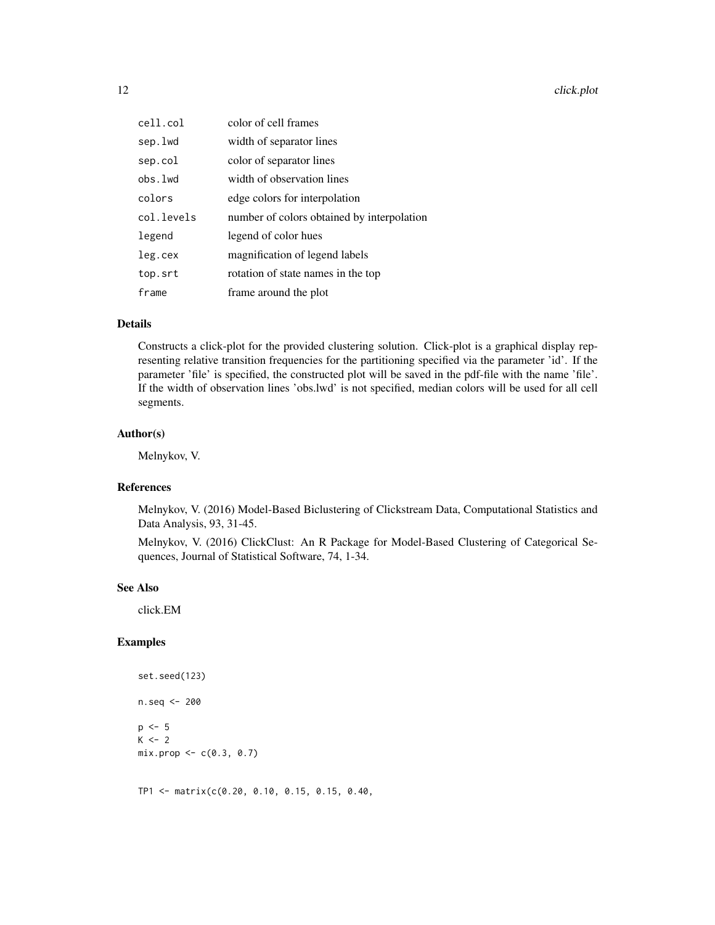| cell.col   | color of cell frames                       |
|------------|--------------------------------------------|
| sep.lwd    | width of separator lines                   |
| sep.col    | color of separator lines                   |
| obs.lwd    | width of observation lines                 |
| colors     | edge colors for interpolation              |
| col.levels | number of colors obtained by interpolation |
| legend     | legend of color hues                       |
| leg.cex    | magnification of legend labels             |
| top.srt    | rotation of state names in the top         |
| frame      | frame around the plot                      |

# Details

Constructs a click-plot for the provided clustering solution. Click-plot is a graphical display representing relative transition frequencies for the partitioning specified via the parameter 'id'. If the parameter 'file' is specified, the constructed plot will be saved in the pdf-file with the name 'file'. If the width of observation lines 'obs.lwd' is not specified, median colors will be used for all cell segments.

#### Author(s)

Melnykov, V.

# References

Melnykov, V. (2016) Model-Based Biclustering of Clickstream Data, Computational Statistics and Data Analysis, 93, 31-45.

Melnykov, V. (2016) ClickClust: An R Package for Model-Based Clustering of Categorical Sequences, Journal of Statistical Software, 74, 1-34.

#### See Also

click.EM

# Examples

```
set.seed(123)
n.seq <- 200
p \le -5K < -2mix.prop < -c(0.3, 0.7)
```
TP1 <- matrix(c(0.20, 0.10, 0.15, 0.15, 0.40,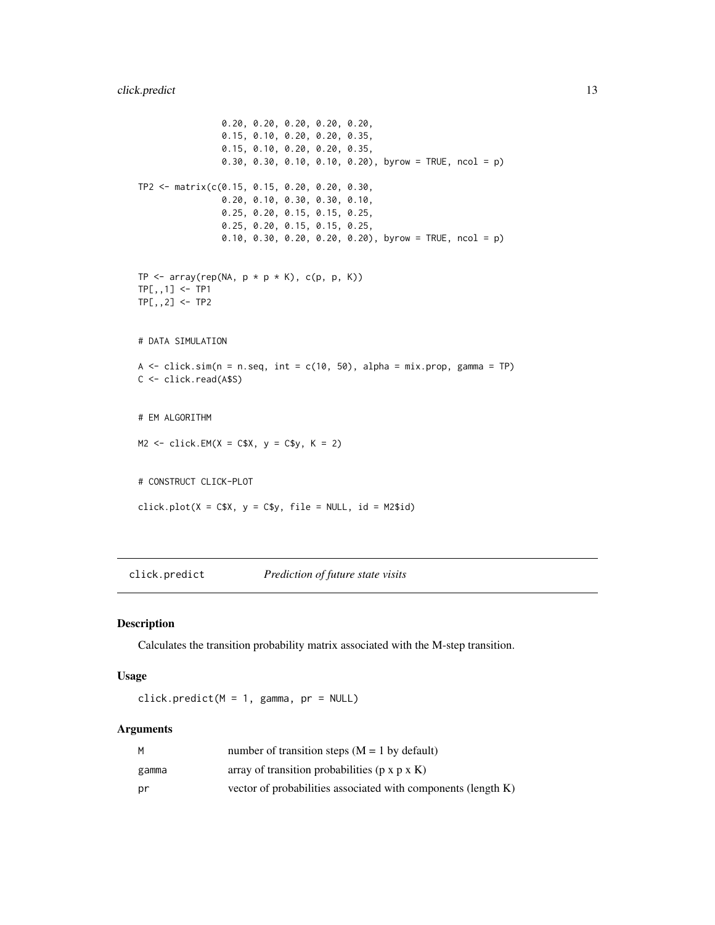```
0.20, 0.20, 0.20, 0.20, 0.20,
                  0.15, 0.10, 0.20, 0.20, 0.35,
                  0.15, 0.10, 0.20, 0.20, 0.35,
                  0.30, 0.30, 0.10, 0.10, 0.20), byrow = TRUE, ncol = p)
TP2 <- matrix(c(0.15, 0.15, 0.20, 0.20, 0.30,
                  0.20, 0.10, 0.30, 0.30, 0.10,
                  0.25, 0.20, 0.15, 0.15, 0.25,
                  0.25, 0.20, 0.15, 0.15, 0.25,
                  0.10, 0.30, 0.20, 0.20, 0.20), byrow = TRUE, ncol = p)
TP \leq array(rep(NA, p * p * K), c(p, p, K))
TP[,, 1] <- TP1
TP[,,2] <- TP2
# DATA SIMULATION
A \leq - \text{click}.\text{sim}(n = n.\text{seq}, \text{ int} = c(10, 50), \text{ alpha} = \text{mix}.\text{prop}, \text{gamma} = \text{TP})C <- click.read(A$S)
# EM ALGORITHM
M2 \le - \text{click.EM}(X = \text{C$X}, y = \text{C$y}, K = 2)# CONSTRUCT CLICK-PLOT
click.plot(X = C$X, y = C$y, file = NULL, id = M2$id)
```
click.predict *Prediction of future state visits*

# Description

Calculates the transition probability matrix associated with the M-step transition.

# Usage

 $click.predict(M = 1, gamma, pr = NULL)$ 

#### Arguments

| м     | number of transition steps $(M = 1$ by default)               |
|-------|---------------------------------------------------------------|
| gamma | array of transition probabilities ( $p \times p \times K$ )   |
| pr    | vector of probabilities associated with components (length K) |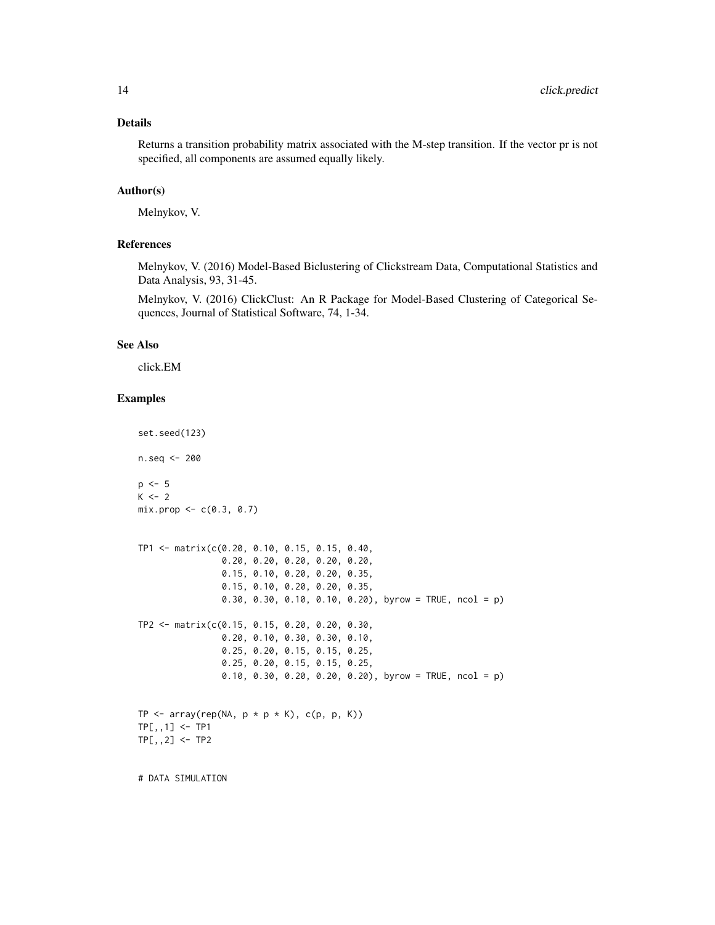### Details

Returns a transition probability matrix associated with the M-step transition. If the vector pr is not specified, all components are assumed equally likely.

#### Author(s)

Melnykov, V.

# References

Melnykov, V. (2016) Model-Based Biclustering of Clickstream Data, Computational Statistics and Data Analysis, 93, 31-45.

Melnykov, V. (2016) ClickClust: An R Package for Model-Based Clustering of Categorical Sequences, Journal of Statistical Software, 74, 1-34.

#### See Also

click.EM

```
set.seed(123)
n.seq <- 200
p \le -5K < - 2mix.prop \leftarrow c(0.3, 0.7)TP1 <- matrix(c(0.20, 0.10, 0.15, 0.15, 0.40,
                0.20, 0.20, 0.20, 0.20, 0.20,
                0.15, 0.10, 0.20, 0.20, 0.35,
                0.15, 0.10, 0.20, 0.20, 0.35,
                0.30, 0.30, 0.10, 0.10, 0.20), byrow = TRUE, ncol = p)
TP2 <- matrix(c(0.15, 0.15, 0.20, 0.20, 0.30,
                0.20, 0.10, 0.30, 0.30, 0.10,
                0.25, 0.20, 0.15, 0.15, 0.25,
                0.25, 0.20, 0.15, 0.15, 0.25,
                0.10, 0.30, 0.20, 0.20, 0.20), byrow = TRUE, ncol = p)
TP \leq array(rep(NA, p * p * K), c(p, p, K))
TP[,, 1] <- TP1
TP[,, 2] <- TP2# DATA SIMULATION
```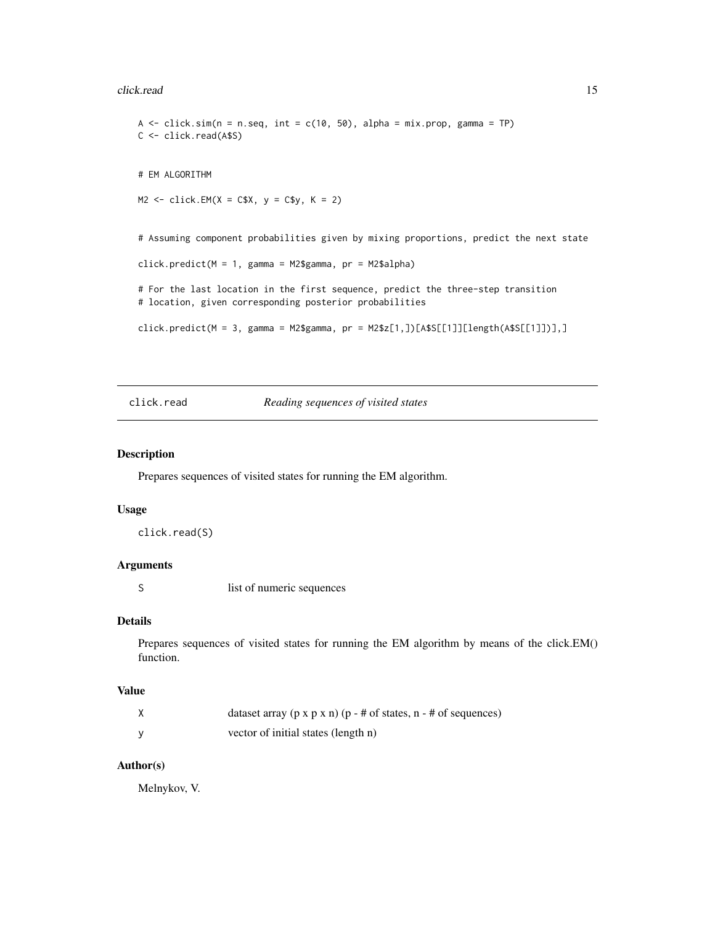#### <span id="page-14-0"></span>click.read 15

```
A \le click.sim(n = n.seq, int = c(10, 50), alpha = mix.prop, gamma = TP)
C <- click.read(A$S)
# EM ALGORITHM
M2 \le - \text{click}.EM(X = C $X, y = C $y, K = 2)# Assuming component probabilities given by mixing proportions, predict the next state
click.predict(M = 1, gamma = M2$gamma, pr = M2$alpha)
# For the last location in the first sequence, predict the three-step transition
# location, given corresponding posterior probabilities
click.predict(M = 3, gamma = M2$gamma, pr = M2$z[1,])[A$S[[1]][length(A$S[[1]])],]
```
click.read *Reading sequences of visited states*

#### Description

Prepares sequences of visited states for running the EM algorithm.

#### Usage

click.read(S)

# Arguments

S list of numeric sequences

#### Details

Prepares sequences of visited states for running the EM algorithm by means of the click.EM() function.

#### Value

| dataset array ( $p \times p \times n$ ) ( $p - #$ of states, $n - #$ of sequences) |
|------------------------------------------------------------------------------------|
| vector of initial states (length n)                                                |

# Author(s)

Melnykov, V.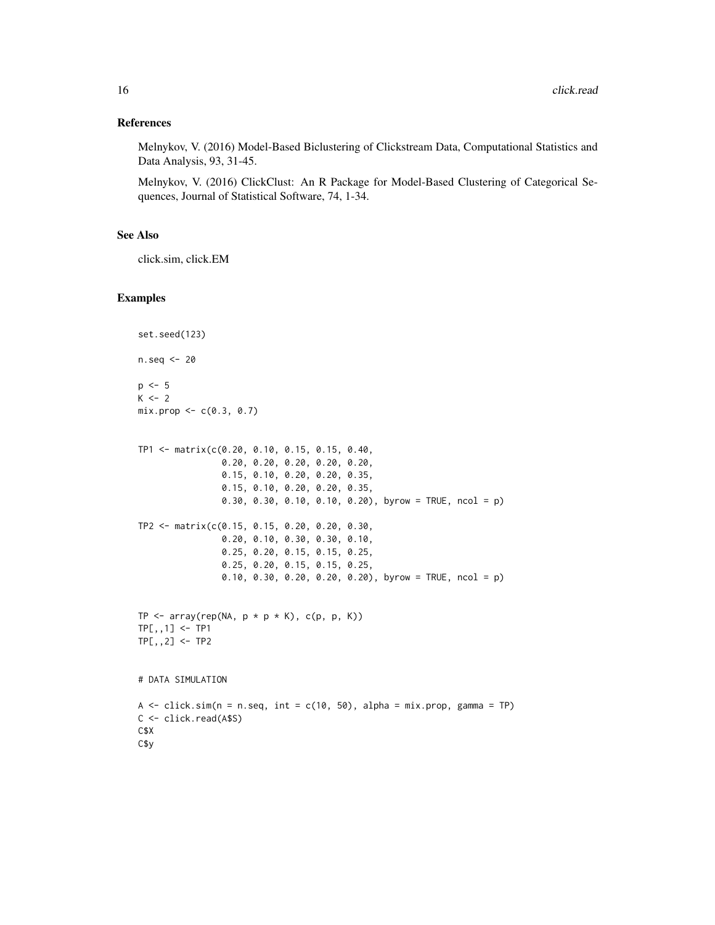#### References

Melnykov, V. (2016) Model-Based Biclustering of Clickstream Data, Computational Statistics and Data Analysis, 93, 31-45.

Melnykov, V. (2016) ClickClust: An R Package for Model-Based Clustering of Categorical Sequences, Journal of Statistical Software, 74, 1-34.

#### See Also

click.sim, click.EM

```
set.seed(123)
n.seq <- 20
p \le -5K < - 2mix.prop <- c(0.3, 0.7)
TP1 <- matrix(c(0.20, 0.10, 0.15, 0.15, 0.40,
                0.20, 0.20, 0.20, 0.20, 0.20,
                0.15, 0.10, 0.20, 0.20, 0.35,
                0.15, 0.10, 0.20, 0.20, 0.35,
                0.30, 0.30, 0.10, 0.10, 0.20), byrow = TRUE, ncol = p)
TP2 <- matrix(c(0.15, 0.15, 0.20, 0.20, 0.30,
                0.20, 0.10, 0.30, 0.30, 0.10,
                0.25, 0.20, 0.15, 0.15, 0.25,
                0.25, 0.20, 0.15, 0.15, 0.25,
                0.10, 0.30, 0.20, 0.20, 0.20), byrow = TRUE, ncol = p)
TP \leq array(rep(NA, p * p * K), c(p, p, K))
TP[,, 1] <- TP1
TP[,, 2] <- TP2# DATA SIMULATION
A \le click.sim(n = n.seq, int = c(10, 50), alpha = mix.prop, gamma = TP)
C <- click.read(A$S)
C$X
C$y
```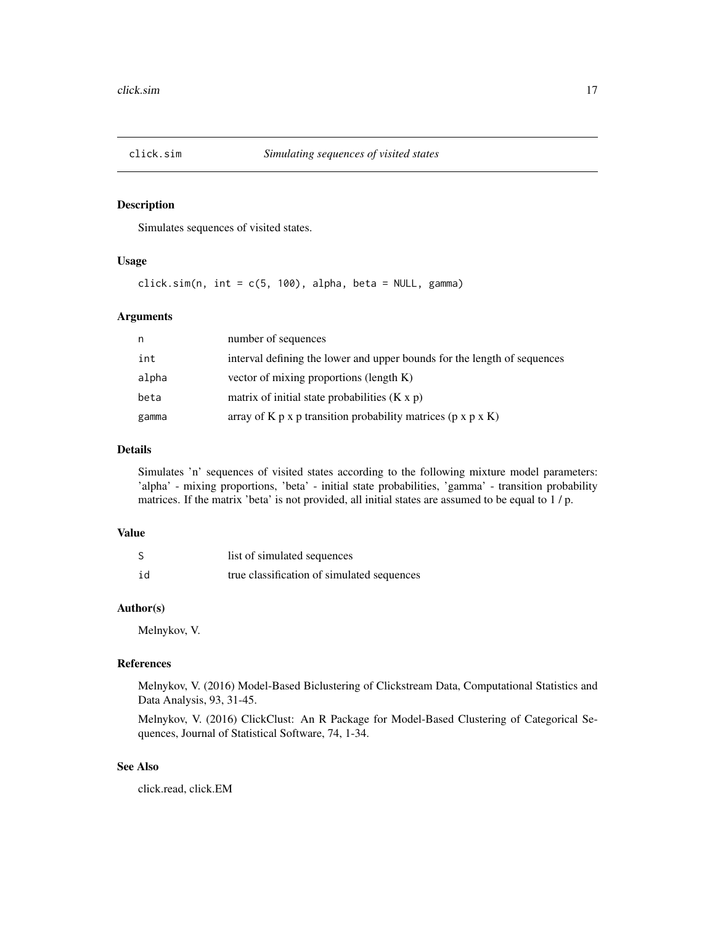<span id="page-16-0"></span>

# Description

Simulates sequences of visited states.

#### Usage

click.sim(n, int =  $c(5, 100)$ , alpha, beta = NULL, gamma)

#### Arguments

| n     | number of sequences                                                               |
|-------|-----------------------------------------------------------------------------------|
| int   | interval defining the lower and upper bounds for the length of sequences          |
| alpha | vector of mixing proportions (length K)                                           |
| beta  | matrix of initial state probabilities $(K x p)$                                   |
| gamma | array of K $p \times p$ transition probability matrices ( $p \times p \times K$ ) |

# Details

Simulates 'n' sequences of visited states according to the following mixture model parameters: 'alpha' - mixing proportions, 'beta' - initial state probabilities, 'gamma' - transition probability matrices. If the matrix 'beta' is not provided, all initial states are assumed to be equal to 1 / p.

# Value

|    | list of simulated sequences                |
|----|--------------------------------------------|
| id | true classification of simulated sequences |

#### Author(s)

Melnykov, V.

# References

Melnykov, V. (2016) Model-Based Biclustering of Clickstream Data, Computational Statistics and Data Analysis, 93, 31-45.

Melnykov, V. (2016) ClickClust: An R Package for Model-Based Clustering of Categorical Sequences, Journal of Statistical Software, 74, 1-34.

# See Also

click.read, click.EM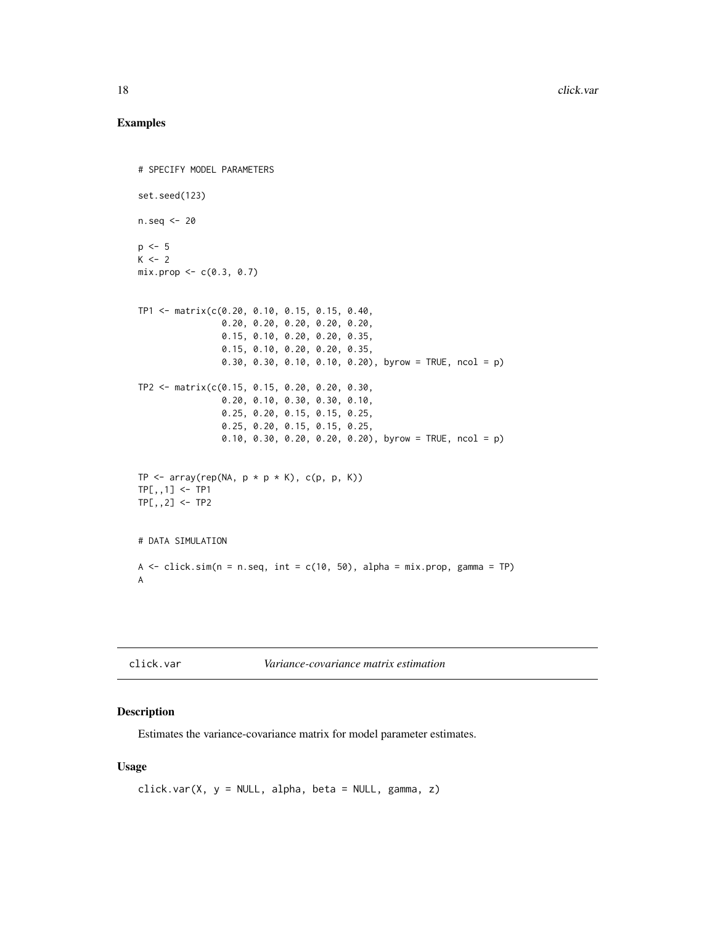# <span id="page-17-0"></span>Examples

```
# SPECIFY MODEL PARAMETERS
set.seed(123)
n.seq <- 20
p \le -5K < -2mix.prop \leftarrow c(0.3, 0.7)TP1 <- matrix(c(0.20, 0.10, 0.15, 0.15, 0.40,
                0.20, 0.20, 0.20, 0.20, 0.20,
                0.15, 0.10, 0.20, 0.20, 0.35,
                0.15, 0.10, 0.20, 0.20, 0.35,
                0.30, 0.30, 0.10, 0.10, 0.20), byrow = TRUE, ncol = p)
TP2 <- matrix(c(0.15, 0.15, 0.20, 0.20, 0.30,
                0.20, 0.10, 0.30, 0.30, 0.10,
                0.25, 0.20, 0.15, 0.15, 0.25,
                0.25, 0.20, 0.15, 0.15, 0.25,
                0.10, 0.30, 0.20, 0.20, 0.20), byrow = TRUE, ncol = p)
TP \leq array(rep(NA, p * p * K), c(p, p, K))
TP[,, 1] <- TP1
TP[,,2] <- TP2
# DATA SIMULATION
A \le click.sim(n = n.seq, int = c(10, 50), alpha = mix.prop, gamma = TP)
A
```

|  | click.var |  |
|--|-----------|--|
|  |           |  |

#### click.var *Variance-covariance matrix estimation*

#### Description

Estimates the variance-covariance matrix for model parameter estimates.

# Usage

```
click.var(X, y = NULL, alpha, beta = NULL, gamma, z)
```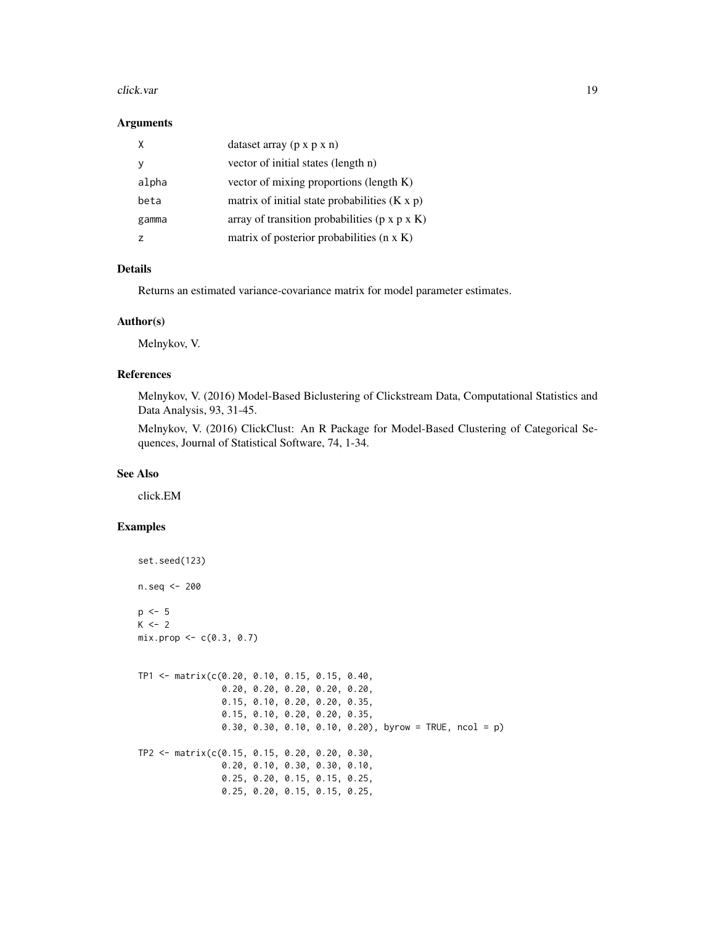#### click.var and the state of the state of the state of the state of the state of the state of the state of the state of the state of the state of the state of the state of the state of the state of the state of the state of

#### Arguments

| X     | dataset array $(p \times p \times n)$                       |
|-------|-------------------------------------------------------------|
| ٧     | vector of initial states (length n)                         |
| alpha | vector of mixing proportions (length K)                     |
| beta  | matrix of initial state probabilities $(K x p)$             |
| gamma | array of transition probabilities ( $p \times p \times K$ ) |
|       | matrix of posterior probabilities $(n \times K)$            |

# Details

Returns an estimated variance-covariance matrix for model parameter estimates.

#### Author(s)

Melnykov, V.

# References

Melnykov, V. (2016) Model-Based Biclustering of Clickstream Data, Computational Statistics and Data Analysis, 93, 31-45.

Melnykov, V. (2016) ClickClust: An R Package for Model-Based Clustering of Categorical Sequences, Journal of Statistical Software, 74, 1-34.

#### See Also

click.EM

```
set.seed(123)
n.seq <- 200
p <- 5
K < - 2mix.prop < -c(0.3, 0.7)TP1 <- matrix(c(0.20, 0.10, 0.15, 0.15, 0.40,
                0.20, 0.20, 0.20, 0.20, 0.20,
                0.15, 0.10, 0.20, 0.20, 0.35,
                0.15, 0.10, 0.20, 0.20, 0.35,
                0.30, 0.30, 0.10, 0.10, 0.20), byrow = TRUE, ncol = p)
TP2 <- matrix(c(0.15, 0.15, 0.20, 0.20, 0.30,
                0.20, 0.10, 0.30, 0.30, 0.10,
                0.25, 0.20, 0.15, 0.15, 0.25,
                0.25, 0.20, 0.15, 0.15, 0.25,
```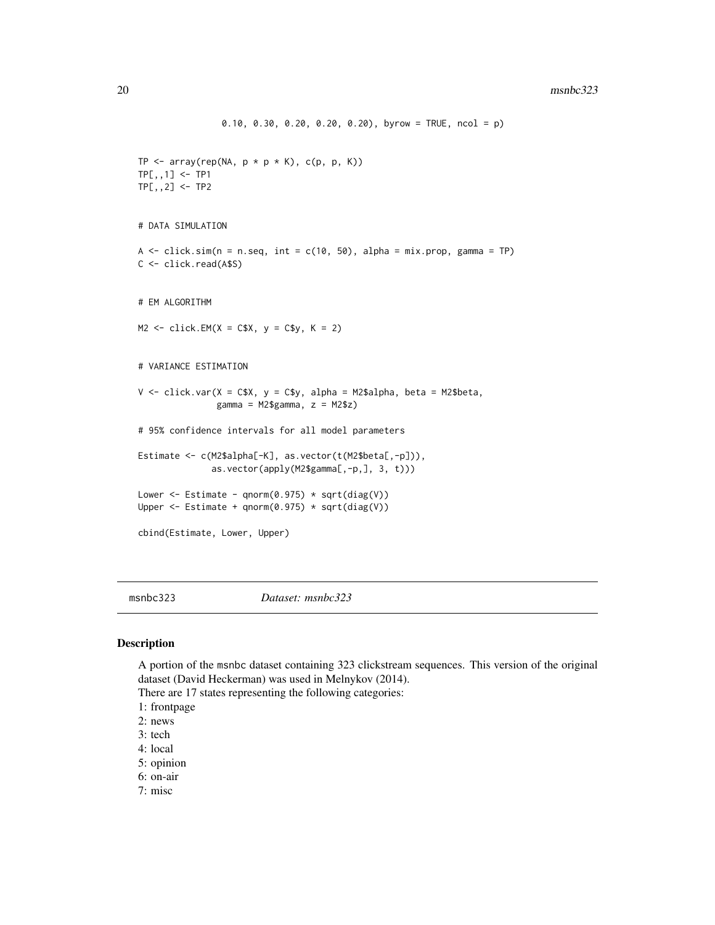```
0.10, 0.30, 0.20, 0.20, 0.20), byrow = TRUE, ncol = p)
TP \leq array(rep(NA, p * p * K), c(p, p, K))
TP[,, 1] <- TP1
TP[,,2] <- TP2
# DATA SIMULATION
A \le click.sim(n = n.seq, int = c(10, 50), alpha = mix.prop, gamma = TP)
C <- click.read(A$S)
# EM ALGORITHM
M2 \leftarrow \text{click.EM}(X = \text{C$X}, y = \text{C$y}, K = 2)# VARIANCE ESTIMATION
V \le - \text{click} \cdot \text{var}(X = \text{C$}X, y = \text{C$}y, \text{ alpha} = \text{M2$}a1\text{pha}, \text{ beta} = \text{M2$}b\text{eta},gamma = M2$gamma, z = M2$z)
# 95% confidence intervals for all model parameters
Estimate <- c(M2$alpha[-K], as.vector(t(M2$beta[,-p])),
                as.vector(apply(M2$gamma[,-p,], 3, t)))
Lower \le Estimate - qnorm(0.975) * sqrt(diag(V))
Upper \le Estimate + qnorm(0.975) * sqrt(diag(V))
cbind(Estimate, Lower, Upper)
```
msnbc323 *Dataset: msnbc323*

#### Description

A portion of the msnbc dataset containing 323 clickstream sequences. This version of the original dataset (David Heckerman) was used in Melnykov (2014).

There are 17 states representing the following categories:

1: frontpage

2: news

3: tech

4: local 5: opinion

6: on-air

7: misc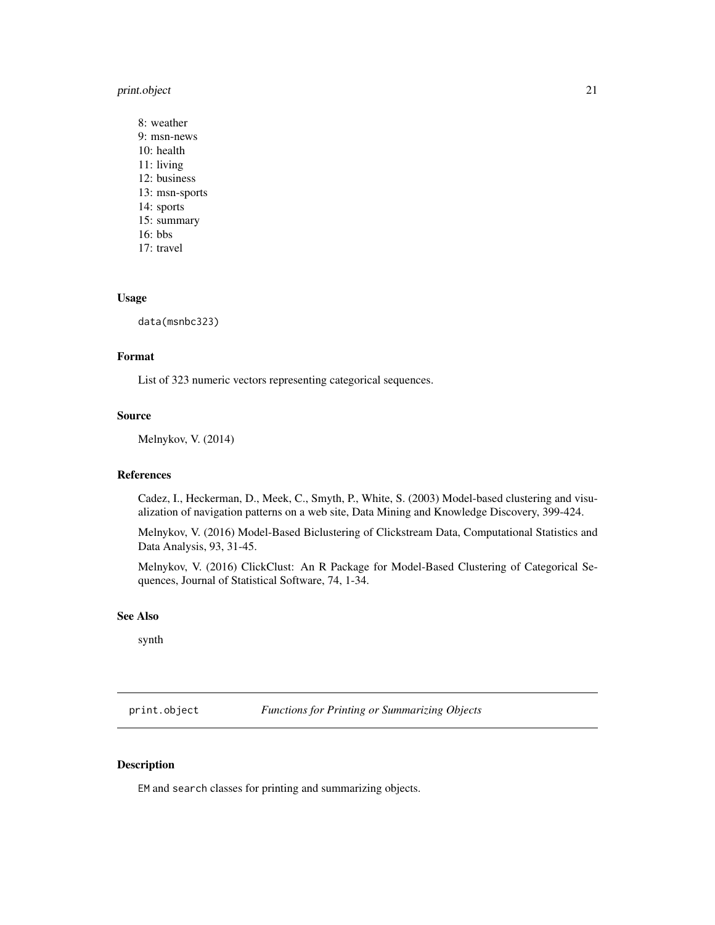# <span id="page-20-0"></span>print.object 21

8: weather 9: msn-news 10: health 11: living 12: business 13: msn-sports 14: sports 15: summary 16: bbs 17: travel

### Usage

data(msnbc323)

#### Format

List of 323 numeric vectors representing categorical sequences.

#### Source

Melnykov, V. (2014)

# References

Cadez, I., Heckerman, D., Meek, C., Smyth, P., White, S. (2003) Model-based clustering and visualization of navigation patterns on a web site, Data Mining and Knowledge Discovery, 399-424.

Melnykov, V. (2016) Model-Based Biclustering of Clickstream Data, Computational Statistics and Data Analysis, 93, 31-45.

Melnykov, V. (2016) ClickClust: An R Package for Model-Based Clustering of Categorical Sequences, Journal of Statistical Software, 74, 1-34.

# See Also

synth

print.object *Functions for Printing or Summarizing Objects*

# **Description**

EM and search classes for printing and summarizing objects.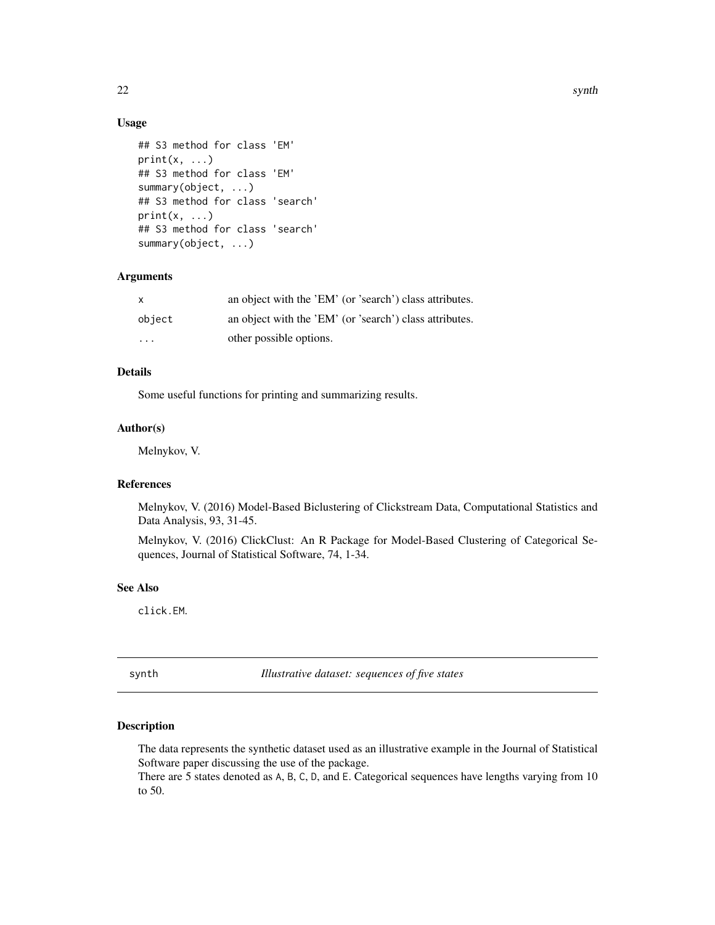# <span id="page-21-0"></span>Usage

```
## S3 method for class 'EM'
print(x, \ldots)## S3 method for class 'EM'
summary(object, ...)
## S3 method for class 'search'
print(x, \ldots)## S3 method for class 'search'
summary(object, ...)
```
#### Arguments

| X                       | an object with the 'EM' (or 'search') class attributes. |
|-------------------------|---------------------------------------------------------|
| object                  | an object with the 'EM' (or 'search') class attributes. |
| $\cdot$ $\cdot$ $\cdot$ | other possible options.                                 |

# Details

Some useful functions for printing and summarizing results.

#### Author(s)

Melnykov, V.

#### References

Melnykov, V. (2016) Model-Based Biclustering of Clickstream Data, Computational Statistics and Data Analysis, 93, 31-45.

Melnykov, V. (2016) ClickClust: An R Package for Model-Based Clustering of Categorical Sequences, Journal of Statistical Software, 74, 1-34.

#### See Also

click.EM.

synth *Illustrative dataset: sequences of five states*

# Description

The data represents the synthetic dataset used as an illustrative example in the Journal of Statistical Software paper discussing the use of the package.

There are 5 states denoted as A, B, C, D, and E. Categorical sequences have lengths varying from 10 to 50.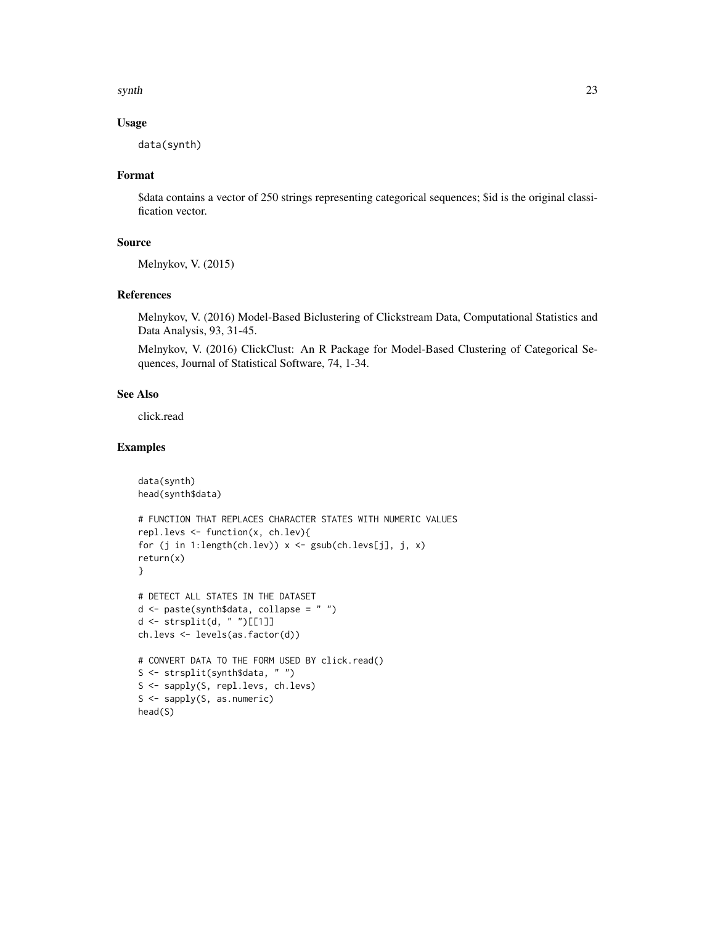synth 23

# Usage

data(synth)

### Format

\$data contains a vector of 250 strings representing categorical sequences; \$id is the original classification vector.

#### Source

Melnykov, V. (2015)

# References

Melnykov, V. (2016) Model-Based Biclustering of Clickstream Data, Computational Statistics and Data Analysis, 93, 31-45.

Melnykov, V. (2016) ClickClust: An R Package for Model-Based Clustering of Categorical Sequences, Journal of Statistical Software, 74, 1-34.

#### See Also

click.read

```
data(synth)
head(synth$data)
# FUNCTION THAT REPLACES CHARACTER STATES WITH NUMERIC VALUES
repl.levs <- function(x, ch.lev){
for (j in 1:length(ch.lev)) x \leftarrow gsub(ch.lev)[j], j, x)return(x)
}
# DETECT ALL STATES IN THE DATASET
d <- paste(synth$data, collapse = " ")
d <- strsplit(d, " ")[[1]]
ch.levs <- levels(as.factor(d))
# CONVERT DATA TO THE FORM USED BY click.read()
S <- strsplit(synth$data, " ")
S <- sapply(S, repl.levs, ch.levs)
S <- sapply(S, as.numeric)
head(S)
```